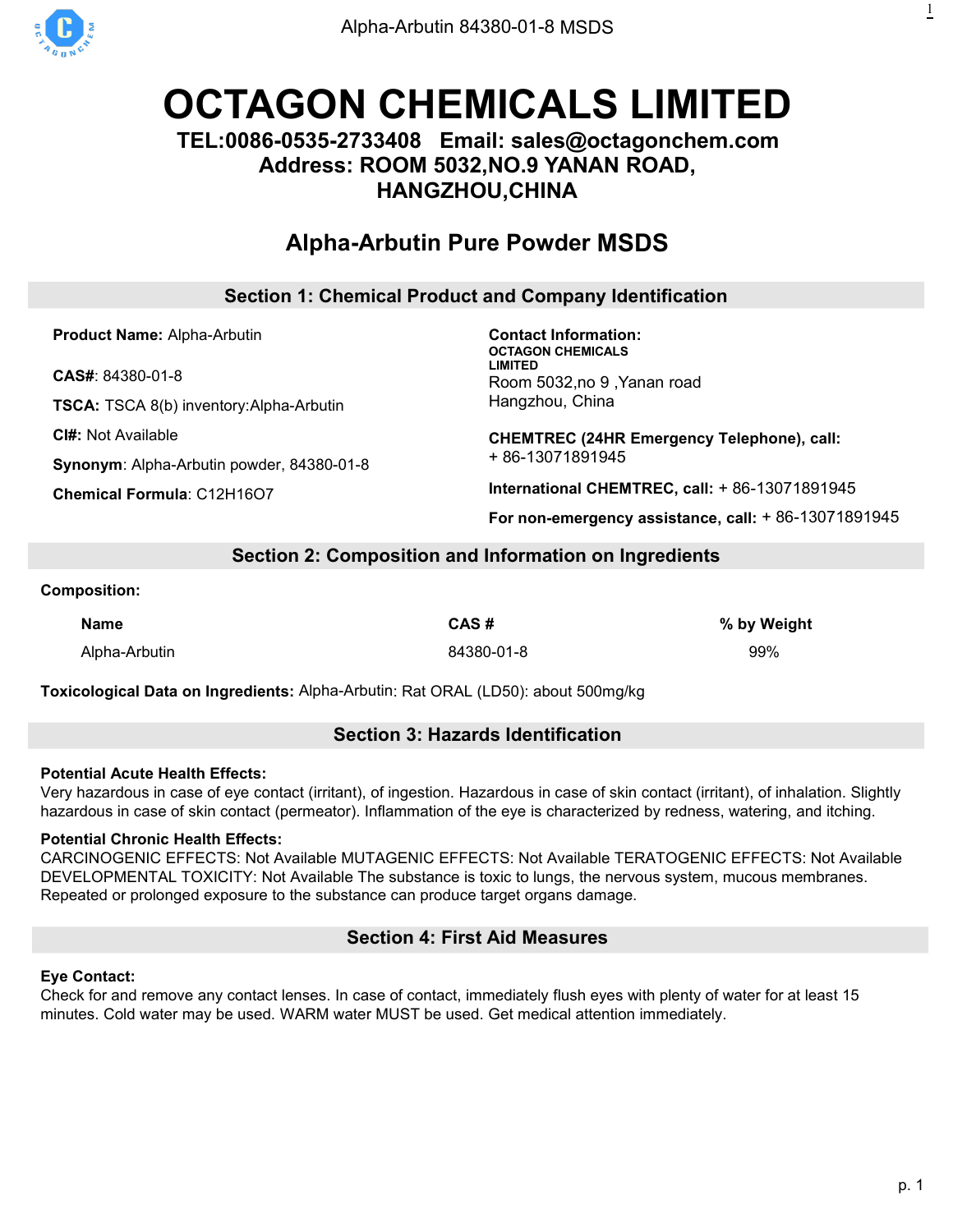

# **OCTAGON [CHEMICALS](https://octagonchem.com) LIMITED**

# **TEL:0086-0535-2733408 Email: sales@octagonchem.com Address: ROOM 5032,NO.9 YANAN ROAD, HANGZHOU,CHINA**

# **[Alpha-Arbutin](https://octagonchem.com/alpha-arbutin-84380-01-8/) Pure Powder MSDS**

# **Section 1: Chemical Product and Company Identification**

**Product Name:** Alpha-Arbutin

**CAS#**: 84380-01-8

**TSCA:** TSCA 8(b) inventory:Alpha-Arbutin

**CI#:** Not Available

**Synonym**: Alpha-Arbutin powder, 84380-01-8

**Chemical Formula**: C12H16O7

**Contact Information: OCTAGON CHEMICALS LIMITED** Room 5032,no 9 ,Yanan road Hangzhou, China

**CHEMTREC (24HR Emergency Telephone), call:** + 86-13071891945

**International CHEMTREC, call:** + 86-13071891945

**For non-emergency assistance, call:** + 86-13071891945

# **Section 2: Composition and Information on Ingredients**

#### **Composition:**

**Name CAS # % by Weight** Alpha-Arbutin 84380-01-8 99%

**Toxicological Data on Ingredients:** Alpha-Arbutin: Rat ORAL (LD50): about 500mg/kg

# **Section 3: Hazards Identification**

#### **Potential Acute Health Effects:**

Very hazardous in case of eye contact (irritant), of ingestion. Hazardous in case of skin contact (irritant), of inhalation. Slightly hazardous in case of skin contact (permeator). Inflammation of the eye is characterized by redness, watering, and itching.

# **Potential Chronic Health Effects:**

CARCINOGENIC EFFECTS: Not Available MUTAGENIC EFFECTS: Not Available TERATOGENIC EFFECTS: Not Available DEVELOPMENTAL TOXICITY: Not Available The substance is toxic to lungs, the nervous system, mucous membranes. Repeated or prolonged exposure to the substance can produce target organs damage.

# **Section 4: First Aid Measures**

# **Eye Contact:**

Check for and remove any contact lenses. In case of contact, immediately flush eyes with plenty of water for at least 15 minutes. Cold water may be used. WARM water MUST be used. Get medical attention immediately.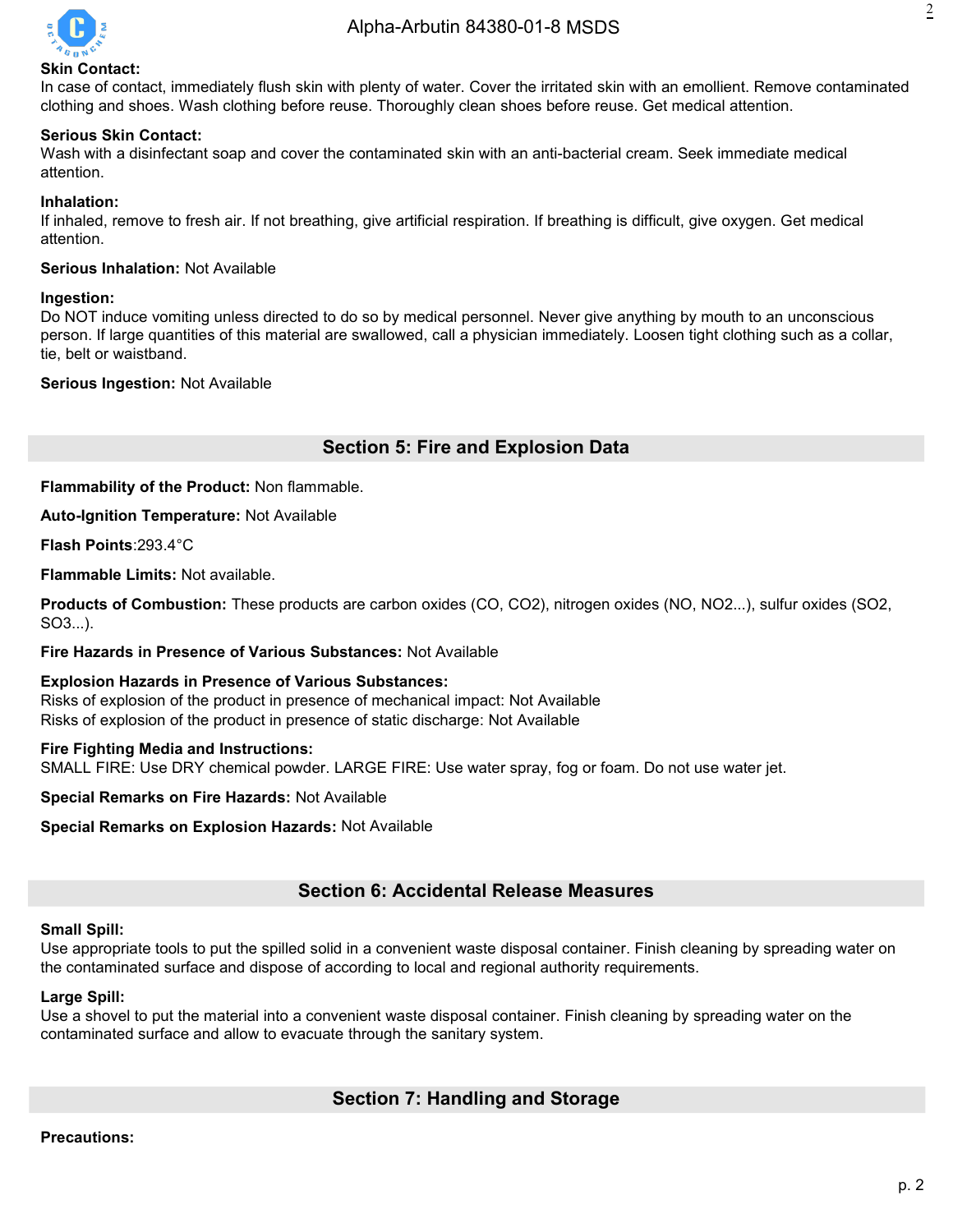

# 2

#### **Skin Contact:**

In case of contact, immediately flush skin with plenty of water. Cover the irritated skin with an emollient. Remove contaminated clothing and shoes. Wash clothing before reuse. Thoroughly clean shoes before reuse. Get medical attention.

#### **Serious Skin Contact:**

Wash with a disinfectant soap and cover the contaminated skin with an anti-bacterial cream. Seek immediate medical attention.

#### **Inhalation:**

If inhaled, remove to fresh air. If not breathing, give artificial respiration. If breathing is difficult, give oxygen. Get medical attention.

#### **Serious Inhalation:** Not Available

#### **Ingestion:**

Do NOT induce vomiting unless directed to do so by medical personnel. Never give anything by mouth to an unconscious person. If large quantities of this material are swallowed, call a physician immediately. Loosen tight clothing such as a collar, tie, belt or waistband.

#### **Serious Ingestion:** Not Available

# **Section 5: Fire and Explosion Data**

**Flammability of the Product:** Non flammable.

**Auto-Ignition Temperature:** Not Available

**Flash Points**:293.4°C

**Flammable Limits:** Not available.

**Products of Combustion:** These products are carbon oxides (CO, CO2), nitrogen oxides (NO, NO2...), sulfur oxides (SO2, SO3...).

#### **Fire Hazards in Presence of Various Substances:** Not Available

**Explosion Hazards in Presence of Various Substances:** Risks of explosion of the product in presence of mechanical impact: Not Available Risks of explosion of the product in presence of static discharge: Not Available

#### **Fire Fighting Media and Instructions:**

SMALL FIRE: Use DRY chemical powder. LARGE FIRE: Use water spray, fog or foam. Do not use water jet.

**Special Remarks on Fire Hazards:** Not Available

**Special Remarks on Explosion Hazards: Not Available** 

# **Section 6: Accidental Release Measures**

#### **Small Spill:**

Use appropriate tools to put the spilled solid in a convenient waste disposal container. Finish cleaning by spreading water on the contaminated surface and dispose of according to local and regional authority requirements.

#### **Large Spill:**

Use a shovel to put the material into a convenient waste disposal container. Finish cleaning by spreading water on the contaminated surface and allow to evacuate through the sanitary system.

# **Section 7: Handling and Storage**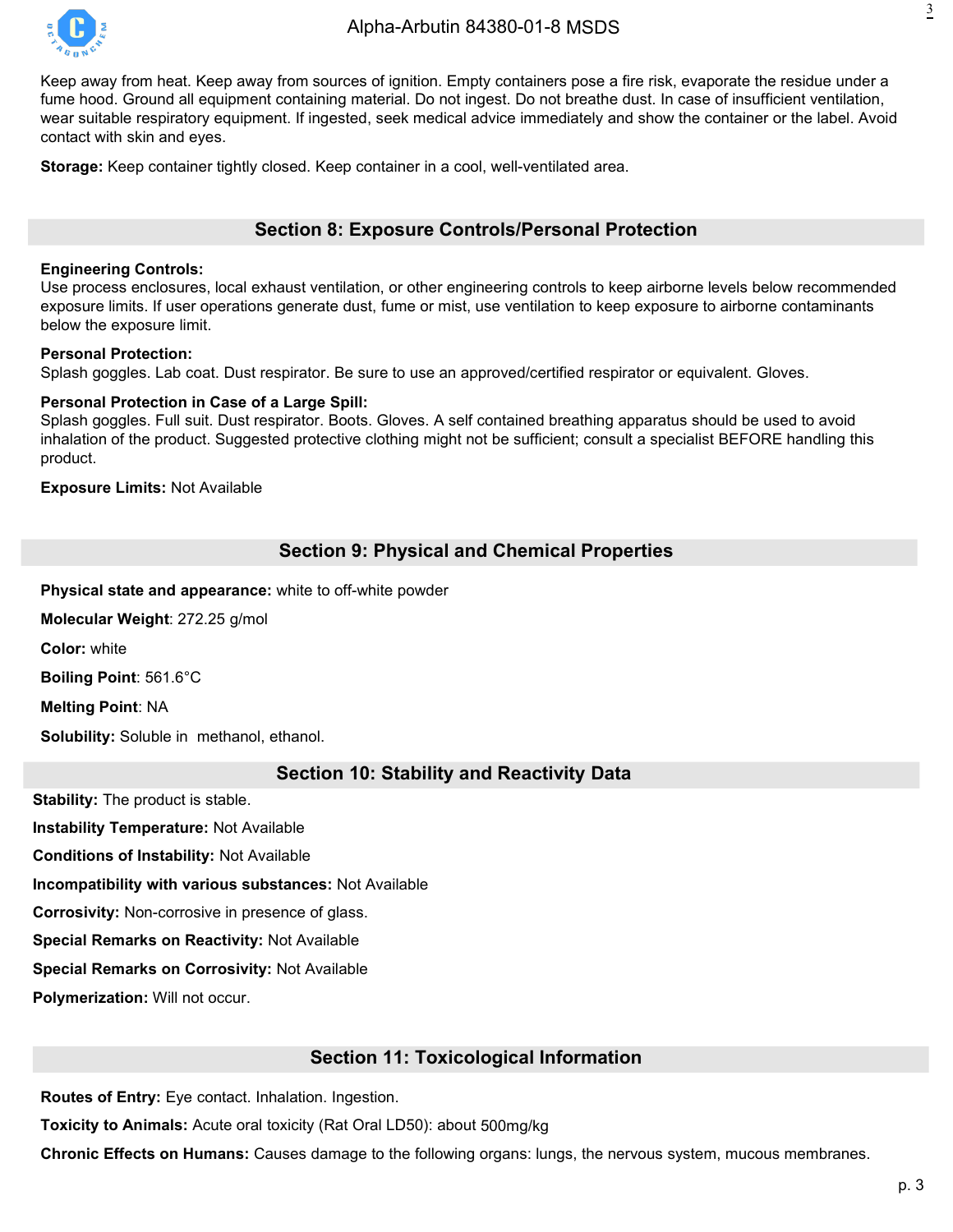

Keep away from heat. Keep away from sources of ignition. Empty containers pose a fire risk, evaporate the residue under a fume hood. Ground all equipment containing material. Do not ingest. Do not breathe dust. In case of insufficient ventilation, wear suitable respiratory equipment. If ingested, seek medical advice immediately and show the container or the label. Avoid contact with skin and eyes.

**Storage:** Keep container tightly closed. Keep container in a cool, well-ventilated area.

# **Section 8: Exposure Controls/Personal Protection**

#### **Engineering Controls:**

Use process enclosures, local exhaust ventilation, or other engineering controls to keep airborne levels below recommended exposure limits. If user operations generate dust, fume or mist, use ventilation to keep exposure to airborne contaminants below the exposure limit.

#### **Personal Protection:**

Splash goggles. Lab coat. Dust respirator. Be sure to use an approved/certified respirator or equivalent. Gloves.

#### **Personal Protection in Case of a Large Spill:**

Splash goggles. Full suit. Dust respirator. Boots. Gloves. A self contained breathing apparatus should be used to avoid inhalation of the product. Suggested protective clothing might not be sufficient; consult a specialist BEFORE handling this product.

**Exposure Limits:** Not Available

# **Section 9: Physical and Chemical Properties**

**Physical state and appearance:** white to off-white powder

**Molecular Weight**: 272.25 g/mol

**Color:** white

**Boiling Point**: 561.6°C

**Melting Point**: NA

**Solubility:** Soluble in methanol, ethanol.

#### **Section 10: Stability and Reactivity Data**

**Stability:** The product is stable.

**Instability Temperature:** Not Available

**Conditions of Instability:** Not Available

**Incompatibility with various substances:** Not Available

**Corrosivity:** Non-corrosive in presence of glass.

**Special Remarks on Reactivity:** Not Available

**Special Remarks on Corrosivity:** Not Available

**Polymerization:** Will not occur.

#### **Section 11: Toxicological Information**

**Routes of Entry:** Eye contact. Inhalation. Ingestion.

**Toxicity to Animals:** Acute oral toxicity (Rat Oral LD50): about 500mg/kg

**Chronic Effects on Humans:** Causes damage to the following organs: lungs, the nervous system, mucous membranes.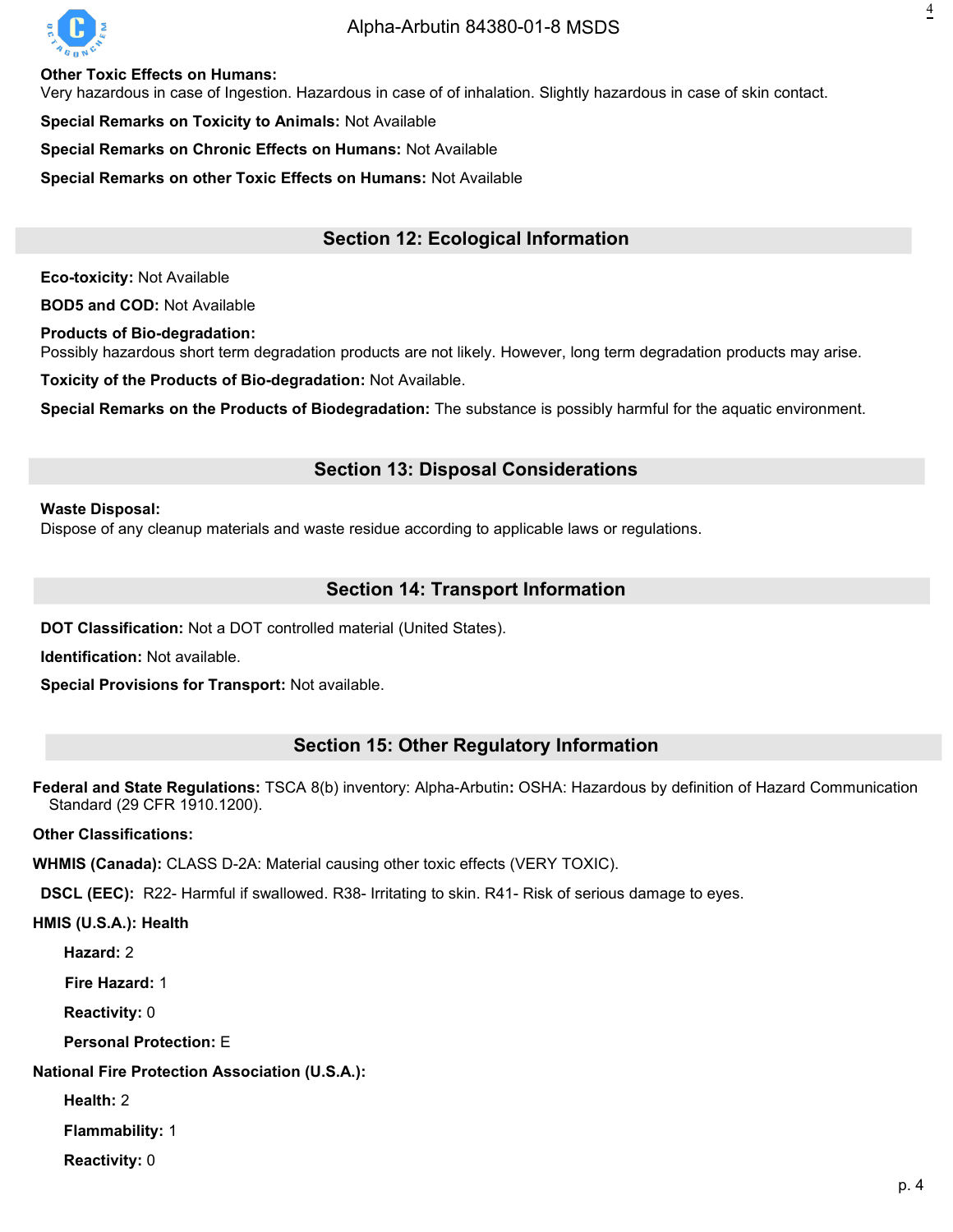

## [Alpha-Arbutin](https://octagonchem.com/alpha-arbutin-84380-01-8/) 84380-01-8 MSDS

**Other Toxic Effects on Humans:**

Very hazardous in case of Ingestion. Hazardous in case of of inhalation. Slightly hazardous in case of skin contact.

**Special Remarks on Toxicity to Animals: Not Available** 

**Special Remarks on Chronic Effects on Humans:** Not Available

**Special Remarks on other Toxic Effects on Humans:** Not Available

# **Section 12: Ecological Information**

**Eco-toxicity:** Not Available

**BOD5 and COD:** Not Available

**Products of Bio-degradation:**

Possibly hazardous short term degradation products are not likely. However, long term degradation products may arise.

**Toxicity of the Products of Bio-degradation:** Not Available.

**Special Remarks on the Products of Biodegradation:** The substance is possibly harmful for the aquatic environment.

### **Section 13: Disposal Considerations**

#### **Waste Disposal:**

Dispose of any cleanup materials and waste residue according to applicable laws or regulations.

# **Section 14: Transport Information**

**DOT Classification:** Not a DOT controlled material (United States).

**Identification:** Not available.

**Special Provisions for Transport:** Not available.

#### **Section 15: Other Regulatory Information**

**Federal and State Regulations:** TSCA 8(b) inventory: Alpha-Arbutin**:** OSHA: Hazardous by definition of Hazard Communication Standard (29 CFR 1910.1200).

**Other Classifications:**

**WHMIS (Canada):** CLASS D-2A: Material causing other toxic effects (VERY TOXIC).

**DSCL (EEC):** R22- Harmful if swallowed. R38- Irritating to skin. R41- Risk of serious damage to eyes.

**HMIS (U.S.A.): Health**

**Hazard:** 2

**Fire Hazard:** 1

**Reactivity:** 0

**Personal Protection:** E

**National Fire Protection Association (U.S.A.):**

**Health:** 2

**Flammability:** 1

**Reactivity:** 0